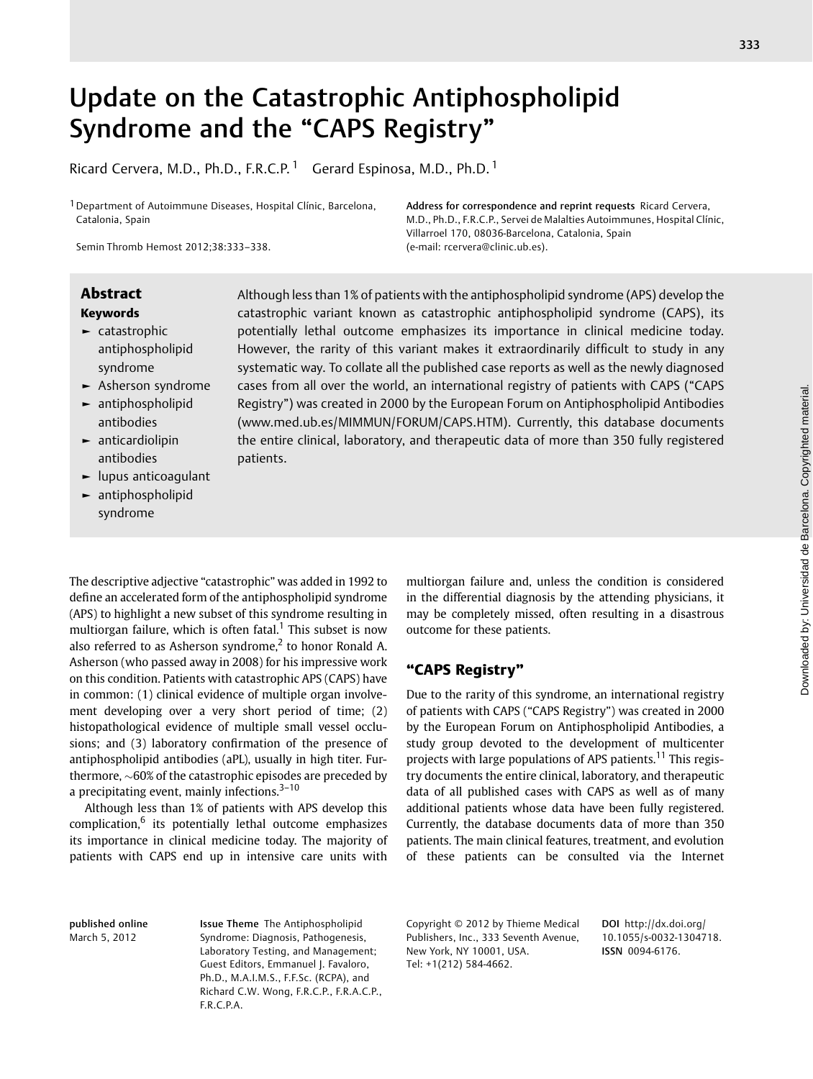# Update on the Catastrophic Antiphospholipid Syndrome and the "CAPS Registry"

Ricard Cervera, M.D., Ph.D., F.R.C.P.<sup>1</sup> Gerard Espinosa, M.D., Ph.D.<sup>1</sup>

<sup>1</sup> Department of Autoimmune Diseases, Hospital Clínic, Barcelona, Catalonia, Spain

Semin Thromb Hemost 2012;38:333–338.

# Keywords

- ► catastrophic antiphospholipid syndrome
- ► Asherson syndrome
- ► antiphospholipid antibodies
- ► anticardiolipin antibodies
- ► lupus anticoagulant
- ► antiphospholipid syndrome

Abstract Although less than 1% of patients with the antiphospholipid syndrome (APS) develop the catastrophic variant known as catastrophic antiphospholipid syndrome (CAPS), its potentially lethal outcome emphasizes its importance in clinical medicine today. However, the rarity of this variant makes it extraordinarily difficult to study in any systematic way. To collate all the published case reports as well as the newly diagnosed cases from all over the world, an international registry of patients with CAPS ("CAPS Registry") was created in 2000 by the European Forum on Antiphospholipid Antibodies ([www.med.ub.es/MIMMUN/FORUM/CAPS.HTM\)](http://www.med.ub.es/MIMMUN/FORUM/CAPS.HTM). Currently, this database documents the entire clinical, laboratory, and therapeutic data of more than 350 fully registered patients.

(e-mail: rcervera@clinic.ub.es).

The descriptive adjective "catastrophic" was added in 1992 to define an accelerated form of the antiphospholipid syndrome (APS) to highlight a new subset of this syndrome resulting in multiorgan failure, which is often fatal.<sup>1</sup> This subset is now also referred to as Asherson syndrome,<sup>2</sup> to honor Ronald A. Asherson (who passed away in 2008) for his impressive work on this condition. Patients with catastrophic APS (CAPS) have in common: (1) clinical evidence of multiple organ involvement developing over a very short period of time; (2) histopathological evidence of multiple small vessel occlusions; and (3) laboratory confirmation of the presence of antiphospholipid antibodies (aPL), usually in high titer. Furthermore,  $\sim$  60% of the catastrophic episodes are preceded by a precipitating event, mainly infections. $3-10$ 

Although less than 1% of patients with APS develop this complication, $6$  its potentially lethal outcome emphasizes its importance in clinical medicine today. The majority of patients with CAPS end up in intensive care units with

multiorgan failure and, unless the condition is considered in the differential diagnosis by the attending physicians, it may be completely missed, often resulting in a disastrous outcome for these patients.

Address for correspondence and reprint requests Ricard Cervera, M.D., Ph.D., F.R.C.P., Servei de Malalties Autoimmunes, Hospital Clínic,

Villarroel 170, 08036-Barcelona, Catalonia, Spain

# "CAPS Registry"

Due to the rarity of this syndrome, an international registry of patients with CAPS ("CAPS Registry") was created in 2000 by the European Forum on Antiphospholipid Antibodies, a study group devoted to the development of multicenter projects with large populations of APS patients.<sup>11</sup> This registry documents the entire clinical, laboratory, and therapeutic data of all published cases with CAPS as well as of many additional patients whose data have been fully registered. Currently, the database documents data of more than 350 patients. The main clinical features, treatment, and evolution of these patients can be consulted via the Internet

published online March 5, 2012

Issue Theme The Antiphospholipid Syndrome: Diagnosis, Pathogenesis, Laboratory Testing, and Management; Guest Editors, Emmanuel J. Favaloro, Ph.D., M.A.I.M.S., F.F.Sc. (RCPA), and Richard C.W. Wong, F.R.C.P., F.R.A.C.P., F.R.C.P.A.

Copyright © 2012 by Thieme Medical Publishers, Inc., 333 Seventh Avenue, New York, NY 10001, USA. Tel: +1(212) 584-4662.

DOI http://dx.doi.org/ 10.1055/s-0032-1304718. ISSN 0094-6176.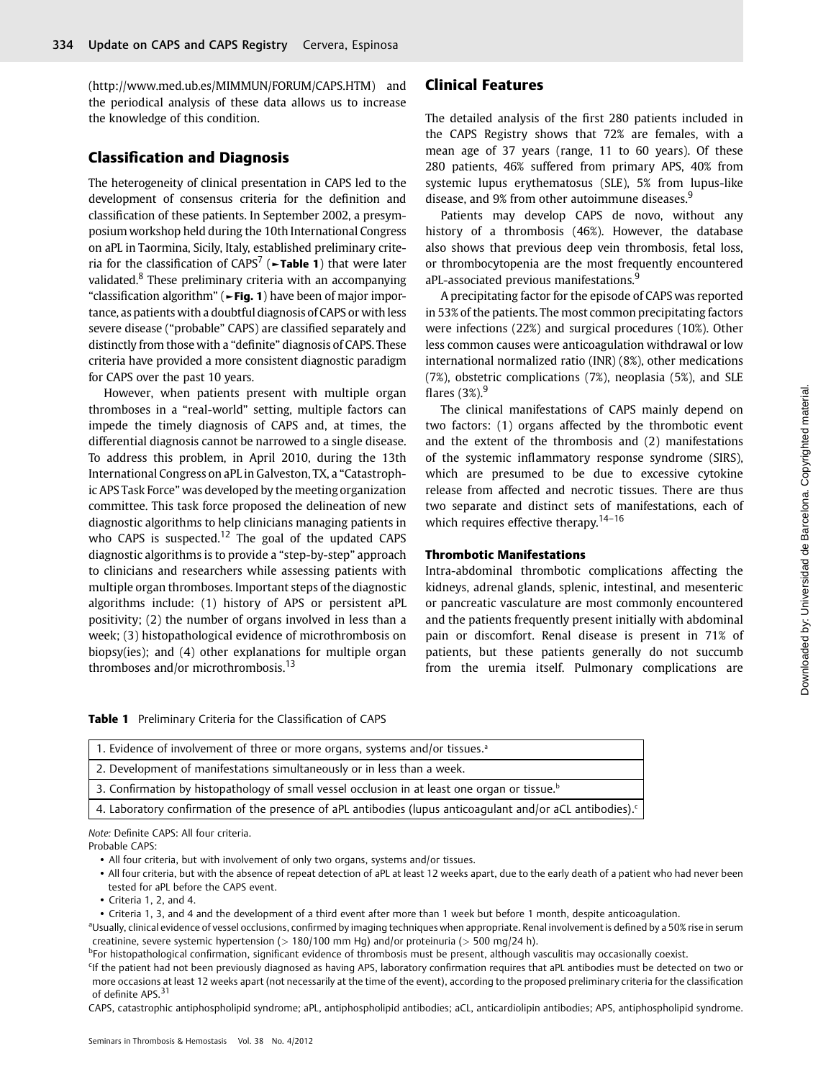(<http://www.med.ub.es/MIMMUN/FORUM/CAPS.HTM>) and the periodical analysis of these data allows us to increase the knowledge of this condition.

# Classification and Diagnosis

The heterogeneity of clinical presentation in CAPS led to the development of consensus criteria for the definition and classification of these patients. In September 2002, a presymposium workshop held during the 10th International Congress on aPL in Taormina, Sicily, Italy, established preliminary criteria for the classification of  $CAPS<sup>7</sup>$  (**Frable 1**) that were later validated.<sup>8</sup> These preliminary criteria with an accompanying "classification algorithm" (► Fig. 1) have been of major importance, as patients with a doubtful diagnosis of CAPS or with less severe disease ("probable" CAPS) are classified separately and distinctly from those with a "definite" diagnosis of CAPS. These criteria have provided a more consistent diagnostic paradigm for CAPS over the past 10 years.

However, when patients present with multiple organ thromboses in a "real-world" setting, multiple factors can impede the timely diagnosis of CAPS and, at times, the differential diagnosis cannot be narrowed to a single disease. To address this problem, in April 2010, during the 13th International Congress on aPL in Galveston, TX, a "Catastrophic APS Task Force" was developed by the meeting organization committee. This task force proposed the delineation of new diagnostic algorithms to help clinicians managing patients in who CAPS is suspected.<sup>12</sup> The goal of the updated CAPS diagnostic algorithms is to provide a "step-by-step" approach to clinicians and researchers while assessing patients with multiple organ thromboses. Important steps of the diagnostic algorithms include: (1) history of APS or persistent aPL positivity; (2) the number of organs involved in less than a week; (3) histopathological evidence of microthrombosis on biopsy(ies); and (4) other explanations for multiple organ thromboses and/or microthrombosis.<sup>13</sup>

# Clinical Features

The detailed analysis of the first 280 patients included in the CAPS Registry shows that 72% are females, with a mean age of 37 years (range, 11 to 60 years). Of these 280 patients, 46% suffered from primary APS, 40% from systemic lupus erythematosus (SLE), 5% from lupus-like disease, and 9% from other autoimmune diseases.<sup>9</sup>

Patients may develop CAPS de novo, without any history of a thrombosis (46%). However, the database also shows that previous deep vein thrombosis, fetal loss, or thrombocytopenia are the most frequently encountered aPL-associated previous manifestations.<sup>9</sup>

A precipitating factor for the episode of CAPS was reported in 53% of the patients. The most common precipitating factors were infections (22%) and surgical procedures (10%). Other less common causes were anticoagulation withdrawal or low international normalized ratio (INR) (8%), other medications (7%), obstetric complications (7%), neoplasia (5%), and SLE flares  $(3\%)$ <sup>9</sup>

The clinical manifestations of CAPS mainly depend on two factors: (1) organs affected by the thrombotic event and the extent of the thrombosis and (2) manifestations of the systemic inflammatory response syndrome (SIRS), which are presumed to be due to excessive cytokine release from affected and necrotic tissues. There are thus two separate and distinct sets of manifestations, each of which requires effective therapy.<sup>14-16</sup>

### Thrombotic Manifestations

Intra-abdominal thrombotic complications affecting the kidneys, adrenal glands, splenic, intestinal, and mesenteric or pancreatic vasculature are most commonly encountered and the patients frequently present initially with abdominal pain or discomfort. Renal disease is present in 71% of patients, but these patients generally do not succumb from the uremia itself. Pulmonary complications are

Table 1 Preliminary Criteria for the Classification of CAPS

| 1. Evidence of involvement of three or more organs, systems and/or tissues. <sup>a</sup>                               |
|------------------------------------------------------------------------------------------------------------------------|
| 2. Development of manifestations simultaneously or in less than a week.                                                |
| 3. Confirmation by histopathology of small vessel occlusion in at least one organ or tissue. <sup>b</sup>              |
| 4. Laboratory confirmation of the presence of aPL antibodies (lupus anticoagulant and/or aCL antibodies). <sup>c</sup> |

Note: Definite CAPS: All four criteria.

Probable CAPS:

• All four criteria, but with involvement of only two organs, systems and/or tissues.

• Criteria 1, 2, and 4.

• Criteria 1, 3, and 4 and the development of a third event after more than 1 week but before 1 month, despite anticoagulation.

<sup>a</sup>Usually, clinical evidence of vessel occlusions, confirmed by imaging techniques when appropriate. Renal involvement is defined by a 50% rise in serum creatinine, severe systemic hypertension (> 180/100 mm Hg) and/or proteinuria (> 500 mg/24 h).

<sup>b</sup>For histopathological confirmation, significant evidence of thrombosis must be present, although vasculitis may occasionally coexist.

<sup>c</sup>If the patient had not been previously diagnosed as having APS, laboratory confirmation requires that aPL antibodies must be detected on two or more occasions at least 12 weeks apart (not necessarily at the time of the event), according to the proposed preliminary criteria for the classification of definite APS.<sup>31</sup>

CAPS, catastrophic antiphospholipid syndrome; aPL, antiphospholipid antibodies; aCL, anticardiolipin antibodies; APS, antiphospholipid syndrome.

<sup>•</sup> All four criteria, but with the absence of repeat detection of aPL at least 12 weeks apart, due to the early death of a patient who had never been tested for aPL before the CAPS event.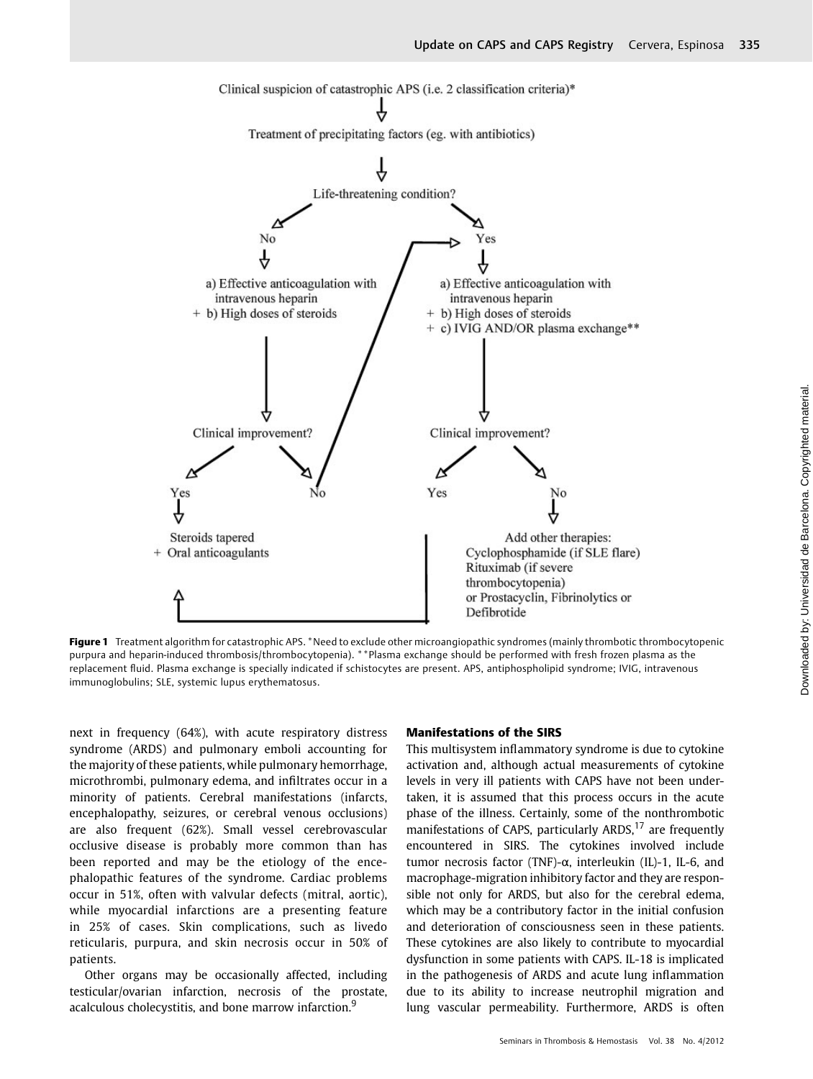

Figure 1 Treatment algorithm for catastrophic APS. \*Need to exclude other microangiopathic syndromes (mainly thrombotic thrombocytopenic purpura and heparin-induced thrombosis/thrombocytopenia). \*\*Plasma exchange should be performed with fresh frozen plasma as the replacement fluid. Plasma exchange is specially indicated if schistocytes are present. APS, antiphospholipid syndrome; IVIG, intravenous immunoglobulins; SLE, systemic lupus erythematosus.

next in frequency (64%), with acute respiratory distress syndrome (ARDS) and pulmonary emboli accounting for the majority of these patients, while pulmonary hemorrhage, microthrombi, pulmonary edema, and infiltrates occur in a minority of patients. Cerebral manifestations (infarcts, encephalopathy, seizures, or cerebral venous occlusions) are also frequent (62%). Small vessel cerebrovascular occlusive disease is probably more common than has been reported and may be the etiology of the encephalopathic features of the syndrome. Cardiac problems occur in 51%, often with valvular defects (mitral, aortic), while myocardial infarctions are a presenting feature in 25% of cases. Skin complications, such as livedo reticularis, purpura, and skin necrosis occur in 50% of patients.

Other organs may be occasionally affected, including testicular/ovarian infarction, necrosis of the prostate, acalculous cholecystitis, and bone marrow infarction.<sup>9</sup>

#### Manifestations of the SIRS

This multisystem inflammatory syndrome is due to cytokine activation and, although actual measurements of cytokine levels in very ill patients with CAPS have not been undertaken, it is assumed that this process occurs in the acute phase of the illness. Certainly, some of the nonthrombotic manifestations of CAPS, particularly ARDS, $17$  are frequently encountered in SIRS. The cytokines involved include tumor necrosis factor (TNF)-α, interleukin (IL)-1, IL-6, and macrophage-migration inhibitory factor and they are responsible not only for ARDS, but also for the cerebral edema, which may be a contributory factor in the initial confusion and deterioration of consciousness seen in these patients. These cytokines are also likely to contribute to myocardial dysfunction in some patients with CAPS. IL-18 is implicated in the pathogenesis of ARDS and acute lung inflammation due to its ability to increase neutrophil migration and lung vascular permeability. Furthermore, ARDS is often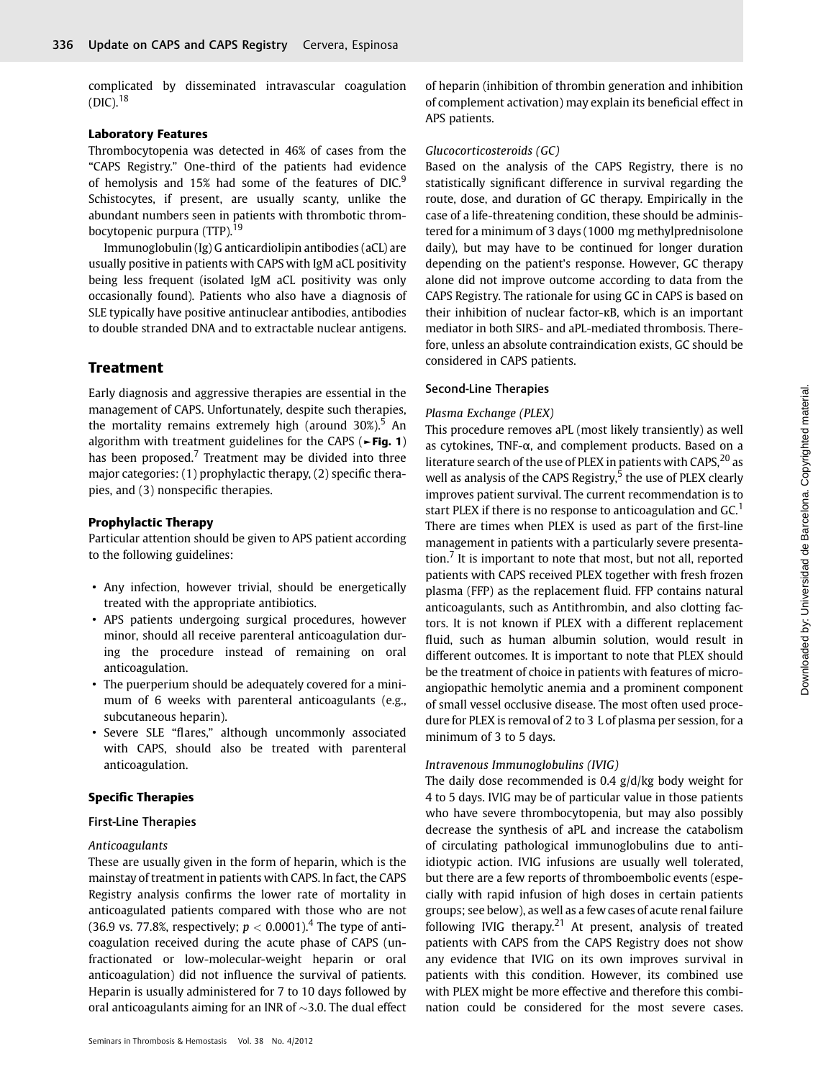complicated by disseminated intravascular coagulation  $(DIC).$ <sup>18</sup>

#### Laboratory Features

Thrombocytopenia was detected in 46% of cases from the "CAPS Registry." One-third of the patients had evidence of hemolysis and 15% had some of the features of DIC.<sup>9</sup> Schistocytes, if present, are usually scanty, unlike the abundant numbers seen in patients with thrombotic thrombocytopenic purpura (TTP).<sup>19</sup>

Immunoglobulin (Ig) G anticardiolipin antibodies (aCL) are usually positive in patients with CAPS with IgM aCL positivity being less frequent (isolated IgM aCL positivity was only occasionally found). Patients who also have a diagnosis of SLE typically have positive antinuclear antibodies, antibodies to double stranded DNA and to extractable nuclear antigens.

# **Treatment**

Early diagnosis and aggressive therapies are essential in the management of CAPS. Unfortunately, despite such therapies, the mortality remains extremely high (around  $30\%$ ).<sup>5</sup> An algorithm with treatment guidelines for the CAPS ( $\blacktriangleright$ Fig. 1) has been proposed.<sup>7</sup> Treatment may be divided into three major categories: (1) prophylactic therapy, (2) specific therapies, and (3) nonspecific therapies.

## Prophylactic Therapy

Particular attention should be given to APS patient according to the following guidelines:

- Any infection, however trivial, should be energetically treated with the appropriate antibiotics.
- APS patients undergoing surgical procedures, however minor, should all receive parenteral anticoagulation during the procedure instead of remaining on oral anticoagulation.
- The puerperium should be adequately covered for a minimum of 6 weeks with parenteral anticoagulants (e.g., subcutaneous heparin).
- Severe SLE "flares," although uncommonly associated with CAPS, should also be treated with parenteral anticoagulation.

#### Specific Therapies

## First-Line Therapies

## Anticoagulants

These are usually given in the form of heparin, which is the mainstay of treatment in patients with CAPS. In fact, the CAPS Registry analysis confirms the lower rate of mortality in anticoagulated patients compared with those who are not (36.9 vs. 77.8%, respectively;  $p < 0.0001$ ).<sup>4</sup> The type of anticoagulation received during the acute phase of CAPS (unfractionated or low-molecular-weight heparin or oral anticoagulation) did not influence the survival of patients. Heparin is usually administered for 7 to 10 days followed by oral anticoagulants aiming for an INR of  $\sim$ 3.0. The dual effect of heparin (inhibition of thrombin generation and inhibition of complement activation) may explain its beneficial effect in APS patients.

#### Glucocorticosteroids (GC)

Based on the analysis of the CAPS Registry, there is no statistically significant difference in survival regarding the route, dose, and duration of GC therapy. Empirically in the case of a life-threatening condition, these should be administered for a minimum of 3 days (1000 mg methylprednisolone daily), but may have to be continued for longer duration depending on the patient's response. However, GC therapy alone did not improve outcome according to data from the CAPS Registry. The rationale for using GC in CAPS is based on their inhibition of nuclear factor-κB, which is an important mediator in both SIRS- and aPL-mediated thrombosis. Therefore, unless an absolute contraindication exists, GC should be considered in CAPS patients.

#### Second-Line Therapies

#### Plasma Exchange (PLEX)

This procedure removes aPL (most likely transiently) as well as cytokines, TNF-α, and complement products. Based on a literature search of the use of PLEX in patients with  $CAPS<sub>1</sub><sup>20</sup>$  as well as analysis of the CAPS Registry,<sup>5</sup> the use of PLEX clearly improves patient survival. The current recommendation is to start PLEX if there is no response to anticoagulation and  $GC<sup>1</sup>$ There are times when PLEX is used as part of the first-line management in patients with a particularly severe presentation. $<sup>7</sup>$  It is important to note that most, but not all, reported</sup> patients with CAPS received PLEX together with fresh frozen plasma (FFP) as the replacement fluid. FFP contains natural anticoagulants, such as Antithrombin, and also clotting factors. It is not known if PLEX with a different replacement fluid, such as human albumin solution, would result in different outcomes. It is important to note that PLEX should be the treatment of choice in patients with features of microangiopathic hemolytic anemia and a prominent component of small vessel occlusive disease. The most often used procedure for PLEX is removal of 2 to 3 L of plasma per session, for a minimum of 3 to 5 days.

### Intravenous Immunoglobulins (IVIG)

The daily dose recommended is 0.4 g/d/kg body weight for 4 to 5 days. IVIG may be of particular value in those patients who have severe thrombocytopenia, but may also possibly decrease the synthesis of aPL and increase the catabolism of circulating pathological immunoglobulins due to antiidiotypic action. IVIG infusions are usually well tolerated, but there are a few reports of thromboembolic events (especially with rapid infusion of high doses in certain patients groups; see below), as well as a few cases of acute renal failure following IVIG therapy.<sup>21</sup> At present, analysis of treated patients with CAPS from the CAPS Registry does not show any evidence that IVIG on its own improves survival in patients with this condition. However, its combined use with PLEX might be more effective and therefore this combination could be considered for the most severe cases.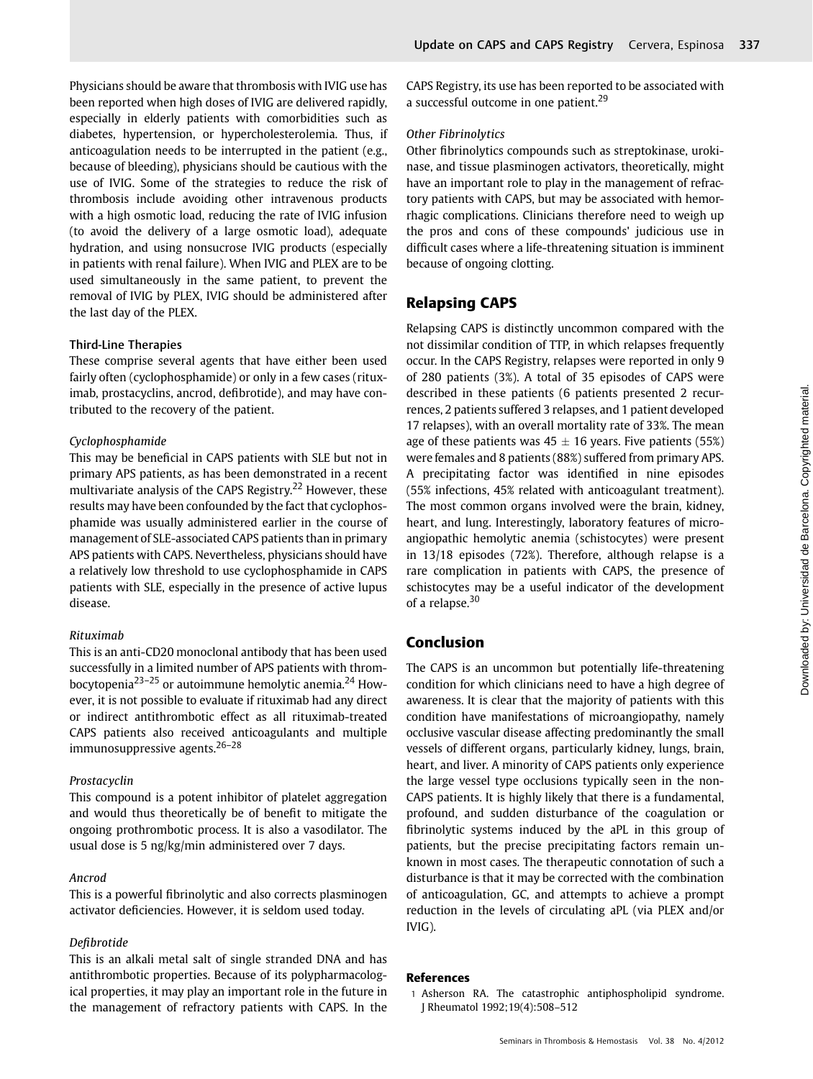Physicians should be aware that thrombosis with IVIG use has been reported when high doses of IVIG are delivered rapidly, especially in elderly patients with comorbidities such as diabetes, hypertension, or hypercholesterolemia. Thus, if anticoagulation needs to be interrupted in the patient (e.g., because of bleeding), physicians should be cautious with the use of IVIG. Some of the strategies to reduce the risk of thrombosis include avoiding other intravenous products with a high osmotic load, reducing the rate of IVIG infusion (to avoid the delivery of a large osmotic load), adequate hydration, and using nonsucrose IVIG products (especially in patients with renal failure). When IVIG and PLEX are to be used simultaneously in the same patient, to prevent the removal of IVIG by PLEX, IVIG should be administered after the last day of the PLEX.

#### Third-Line Therapies

These comprise several agents that have either been used fairly often (cyclophosphamide) or only in a few cases (rituximab, prostacyclins, ancrod, defibrotide), and may have contributed to the recovery of the patient.

#### Cyclophosphamide

This may be beneficial in CAPS patients with SLE but not in primary APS patients, as has been demonstrated in a recent multivariate analysis of the CAPS Registry.<sup>22</sup> However, these results may have been confounded by the fact that cyclophosphamide was usually administered earlier in the course of management of SLE-associated CAPS patients than in primary APS patients with CAPS. Nevertheless, physicians should have a relatively low threshold to use cyclophosphamide in CAPS patients with SLE, especially in the presence of active lupus disease.

#### Rituximab

This is an anti-CD20 monoclonal antibody that has been used successfully in a limited number of APS patients with thrombocytopenia<sup>23–25</sup> or autoimmune hemolytic anemia.<sup>24</sup> However, it is not possible to evaluate if rituximab had any direct or indirect antithrombotic effect as all rituximab-treated CAPS patients also received anticoagulants and multiple immunosuppressive agents.26–<sup>28</sup>

#### Prostacyclin

This compound is a potent inhibitor of platelet aggregation and would thus theoretically be of benefit to mitigate the ongoing prothrombotic process. It is also a vasodilator. The usual dose is 5 ng/kg/min administered over 7 days.

#### Ancrod

This is a powerful fibrinolytic and also corrects plasminogen activator deficiencies. However, it is seldom used today.

#### Defibrotide

This is an alkali metal salt of single stranded DNA and has antithrombotic properties. Because of its polypharmacological properties, it may play an important role in the future in the management of refractory patients with CAPS. In the CAPS Registry, its use has been reported to be associated with a successful outcome in one patient.<sup>29</sup>

## Other Fibrinolytics

Other fibrinolytics compounds such as streptokinase, urokinase, and tissue plasminogen activators, theoretically, might have an important role to play in the management of refractory patients with CAPS, but may be associated with hemorrhagic complications. Clinicians therefore need to weigh up the pros and cons of these compounds' judicious use in difficult cases where a life-threatening situation is imminent because of ongoing clotting.

# Relapsing CAPS

Relapsing CAPS is distinctly uncommon compared with the not dissimilar condition of TTP, in which relapses frequently occur. In the CAPS Registry, relapses were reported in only 9 of 280 patients (3%). A total of 35 episodes of CAPS were described in these patients (6 patients presented 2 recurrences, 2 patients suffered 3 relapses, and 1 patient developed 17 relapses), with an overall mortality rate of 33%. The mean age of these patients was  $45 \pm 16$  years. Five patients (55%) were females and 8 patients (88%) suffered from primary APS. A precipitating factor was identified in nine episodes (55% infections, 45% related with anticoagulant treatment). The most common organs involved were the brain, kidney, heart, and lung. Interestingly, laboratory features of microangiopathic hemolytic anemia (schistocytes) were present in 13/18 episodes (72%). Therefore, although relapse is a rare complication in patients with CAPS, the presence of schistocytes may be a useful indicator of the development of a relapse.<sup>30</sup>

# Conclusion

The CAPS is an uncommon but potentially life-threatening condition for which clinicians need to have a high degree of awareness. It is clear that the majority of patients with this condition have manifestations of microangiopathy, namely occlusive vascular disease affecting predominantly the small vessels of different organs, particularly kidney, lungs, brain, heart, and liver. A minority of CAPS patients only experience the large vessel type occlusions typically seen in the non-CAPS patients. It is highly likely that there is a fundamental, profound, and sudden disturbance of the coagulation or fibrinolytic systems induced by the aPL in this group of patients, but the precise precipitating factors remain unknown in most cases. The therapeutic connotation of such a disturbance is that it may be corrected with the combination of anticoagulation, GC, and attempts to achieve a prompt reduction in the levels of circulating aPL (via PLEX and/or IVIG).

# References

<sup>1</sup> Asherson RA. The catastrophic antiphospholipid syndrome. J Rheumatol 1992;19(4):508–512